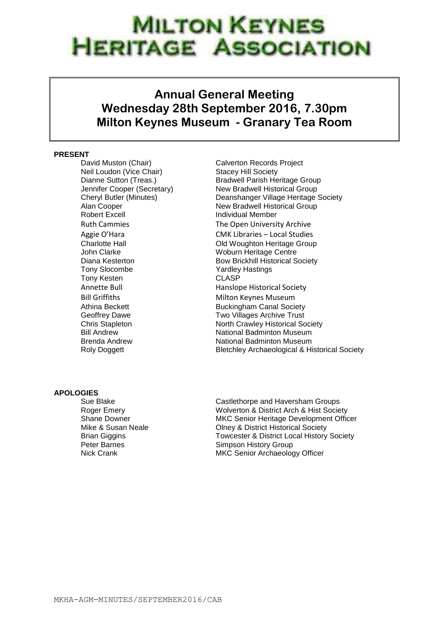# **MILTON KEYNES JERITAGE ASSOCIATION**

## **Annual General Meeting Wednesday 28th September 2016, 7.30pm Milton Keynes Museum - Granary Tea Room**

## **PRESENT**

David Muston (Chair) Calverton Records Project Neil Loudon (Vice Chair) Stacey Hill Society Robert Excell **Individual Member** John Clarke Woburn Heritage Centre Tony Slocombe Yardley Hastings Tony Kesten CLASP Bill Griffiths Milton Keynes Museum

Dianne Sutton (Treas.) Bradwell Parish Heritage Group Jennifer Cooper (Secretary) New Bradwell Historical Group Cheryl Butler (Minutes) Deanshanger Village Heritage Society Alan Cooper New Bradwell Historical Group Ruth Cammies **The Open University Archive** Aggie O'Hara CMK Libraries – Local Studies Charlotte Hall **Charlotte Hall** Charlotte Hall **Charlotte Hall** Diana Kesterton **Bow Brickhill Historical Society** Annette Bull **Annette Bull** Hanslope Historical Society Athina Beckett **Buckingham Canal Society** Geoffrey Dawe **TWO Villages Archive Trust** Chris Stapleton North Crawley Historical Society Bill Andrew **National Badminton Museum** Brenda Andrew **National Badminton Museum** Roly Doggett **Bletchley Archaeological & Historical Society** 

## **APOLOGIES**

Sue Blake Castlethorpe and Haversham Groups Roger Emery Wolverton & District Arch & Hist Society Shane Downer MKC Senior Heritage Development Officer Mike & Susan Neale **Olney & District Historical Society** Brian Giggins Towcester & District Local History Society Peter Barnes **Simpson History Group** Nick Crank MKC Senior Archaeology Officer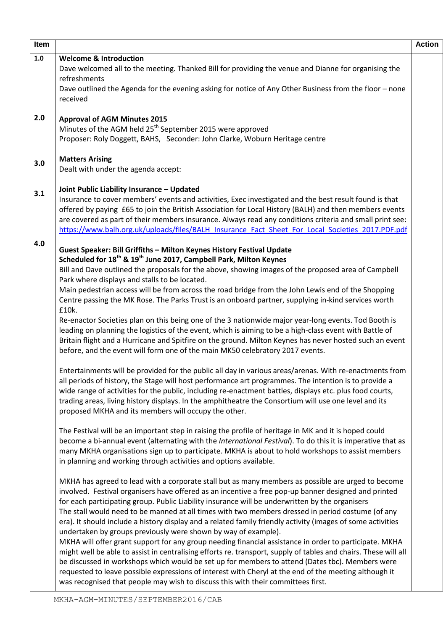| Item |                                                                                                                                                                                                                   | <b>Action</b> |
|------|-------------------------------------------------------------------------------------------------------------------------------------------------------------------------------------------------------------------|---------------|
| 1.0  | <b>Welcome &amp; Introduction</b>                                                                                                                                                                                 |               |
|      | Dave welcomed all to the meeting. Thanked Bill for providing the venue and Dianne for organising the<br>refreshments                                                                                              |               |
|      | Dave outlined the Agenda for the evening asking for notice of Any Other Business from the floor - none<br>received                                                                                                |               |
| 2.0  | <b>Approval of AGM Minutes 2015</b>                                                                                                                                                                               |               |
|      | Minutes of the AGM held 25 <sup>th</sup> September 2015 were approved                                                                                                                                             |               |
|      | Proposer: Roly Doggett, BAHS, Seconder: John Clarke, Woburn Heritage centre                                                                                                                                       |               |
| 3.0  | <b>Matters Arising</b>                                                                                                                                                                                            |               |
|      | Dealt with under the agenda accept:                                                                                                                                                                               |               |
| 3.1  | Joint Public Liability Insurance - Updated                                                                                                                                                                        |               |
|      | Insurance to cover members' events and activities, Exec investigated and the best result found is that                                                                                                            |               |
|      | offered by paying £65 to join the British Association for Local History (BALH) and then members events                                                                                                            |               |
|      | are covered as part of their members insurance. Always read any conditions criteria and small print see:<br>https://www.balh.org.uk/uploads/files/BALH Insurance Fact Sheet For Local Societies 2017.PDF.pdf      |               |
| 4.0  | Guest Speaker: Bill Griffiths - Milton Keynes History Festival Update                                                                                                                                             |               |
|      | Scheduled for 18 <sup>th</sup> & 19 <sup>th</sup> June 2017, Campbell Park, Milton Keynes                                                                                                                         |               |
|      | Bill and Dave outlined the proposals for the above, showing images of the proposed area of Campbell                                                                                                               |               |
|      | Park where displays and stalls to be located.                                                                                                                                                                     |               |
|      | Main pedestrian access will be from across the road bridge from the John Lewis end of the Shopping                                                                                                                |               |
|      | Centre passing the MK Rose. The Parks Trust is an onboard partner, supplying in-kind services worth<br>£10k.                                                                                                      |               |
|      | Re-enactor Societies plan on this being one of the 3 nationwide major year-long events. Tod Booth is                                                                                                              |               |
|      | leading on planning the logistics of the event, which is aiming to be a high-class event with Battle of                                                                                                           |               |
|      | Britain flight and a Hurricane and Spitfire on the ground. Milton Keynes has never hosted such an event                                                                                                           |               |
|      | before, and the event will form one of the main MK50 celebratory 2017 events.                                                                                                                                     |               |
|      | Entertainments will be provided for the public all day in various areas/arenas. With re-enactments from                                                                                                           |               |
|      | all periods of history, the Stage will host performance art programmes. The intention is to provide a                                                                                                             |               |
|      | wide range of activities for the public, including re-enactment battles, displays etc. plus food courts,<br>trading areas, living history displays. In the amphitheatre the Consortium will use one level and its |               |
|      | proposed MKHA and its members will occupy the other.                                                                                                                                                              |               |
|      | The Festival will be an important step in raising the profile of heritage in MK and it is hoped could                                                                                                             |               |
|      | become a bi-annual event (alternating with the International Festival). To do this it is imperative that as                                                                                                       |               |
|      | many MKHA organisations sign up to participate. MKHA is about to hold workshops to assist members                                                                                                                 |               |
|      | in planning and working through activities and options available.                                                                                                                                                 |               |
|      | MKHA has agreed to lead with a corporate stall but as many members as possible are urged to become                                                                                                                |               |
|      | involved. Festival organisers have offered as an incentive a free pop-up banner designed and printed                                                                                                              |               |
|      | for each participating group. Public Liability insurance will be underwritten by the organisers                                                                                                                   |               |
|      | The stall would need to be manned at all times with two members dressed in period costume (of any<br>era). It should include a history display and a related family friendly activity (images of some activities  |               |
|      | undertaken by groups previously were shown by way of example).                                                                                                                                                    |               |
|      | MKHA will offer grant support for any group needing financial assistance in order to participate. MKHA                                                                                                            |               |
|      | might well be able to assist in centralising efforts re. transport, supply of tables and chairs. These will all                                                                                                   |               |
|      | be discussed in workshops which would be set up for members to attend (Dates tbc). Members were                                                                                                                   |               |
|      | requested to leave possible expressions of interest with Cheryl at the end of the meeting although it                                                                                                             |               |
|      | was recognised that people may wish to discuss this with their committees first.                                                                                                                                  |               |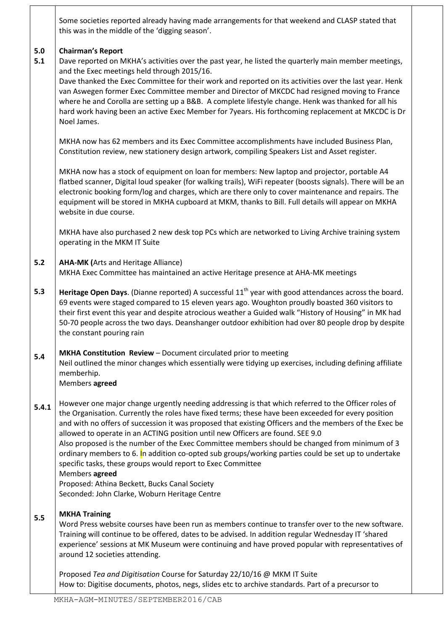|            | Some societies reported already having made arrangements for that weekend and CLASP stated that<br>this was in the middle of the 'digging season'.                                                                                                                                                                                                                                                                                                                                                                                                                                                                                                                                                                                               |
|------------|--------------------------------------------------------------------------------------------------------------------------------------------------------------------------------------------------------------------------------------------------------------------------------------------------------------------------------------------------------------------------------------------------------------------------------------------------------------------------------------------------------------------------------------------------------------------------------------------------------------------------------------------------------------------------------------------------------------------------------------------------|
| 5.0<br>5.1 | <b>Chairman's Report</b><br>Dave reported on MKHA's activities over the past year, he listed the quarterly main member meetings,<br>and the Exec meetings held through 2015/16.<br>Dave thanked the Exec Committee for their work and reported on its activities over the last year. Henk<br>van Aswegen former Exec Committee member and Director of MKCDC had resigned moving to France<br>where he and Corolla are setting up a B&B. A complete lifestyle change. Henk was thanked for all his<br>hard work having been an active Exec Member for 7years. His forthcoming replacement at MKCDC is Dr<br>Noel James.                                                                                                                           |
|            | MKHA now has 62 members and its Exec Committee accomplishments have included Business Plan,<br>Constitution review, new stationery design artwork, compiling Speakers List and Asset register.                                                                                                                                                                                                                                                                                                                                                                                                                                                                                                                                                   |
|            | MKHA now has a stock of equipment on loan for members: New laptop and projector, portable A4<br>flatbed scanner, Digital loud speaker (for walking trails), WiFi repeater (boosts signals). There will be an<br>electronic booking form/log and charges, which are there only to cover maintenance and repairs. The<br>equipment will be stored in MKHA cupboard at MKM, thanks to Bill. Full details will appear on MKHA<br>website in due course.                                                                                                                                                                                                                                                                                              |
|            | MKHA have also purchased 2 new desk top PCs which are networked to Living Archive training system<br>operating in the MKM IT Suite                                                                                                                                                                                                                                                                                                                                                                                                                                                                                                                                                                                                               |
| $5.2$      | <b>AHA-MK (Arts and Heritage Alliance)</b><br>MKHA Exec Committee has maintained an active Heritage presence at AHA-MK meetings                                                                                                                                                                                                                                                                                                                                                                                                                                                                                                                                                                                                                  |
| 5.3        | Heritage Open Days. (Dianne reported) A successful 11 <sup>th</sup> year with good attendances across the board.<br>69 events were staged compared to 15 eleven years ago. Woughton proudly boasted 360 visitors to<br>their first event this year and despite atrocious weather a Guided walk "History of Housing" in MK had<br>50-70 people across the two days. Deanshanger outdoor exhibition had over 80 people drop by despite<br>the constant pouring rain                                                                                                                                                                                                                                                                                |
| 5.4        | MKHA Constitution Review - Document circulated prior to meeting<br>Neil outlined the minor changes which essentially were tidying up exercises, including defining affiliate<br>memberhip.<br>Members agreed                                                                                                                                                                                                                                                                                                                                                                                                                                                                                                                                     |
| 5.4.1      | However one major change urgently needing addressing is that which referred to the Officer roles of<br>the Organisation. Currently the roles have fixed terms; these have been exceeded for every position<br>and with no offers of succession it was proposed that existing Officers and the members of the Exec be<br>allowed to operate in an ACTING position until new Officers are found. SEE 9.0<br>Also proposed is the number of the Exec Committee members should be changed from minimum of 3<br>ordinary members to 6. In addition co-opted sub groups/working parties could be set up to undertake<br>specific tasks, these groups would report to Exec Committee<br>Members agreed<br>Proposed: Athina Beckett, Bucks Canal Society |
|            | Seconded: John Clarke, Woburn Heritage Centre                                                                                                                                                                                                                                                                                                                                                                                                                                                                                                                                                                                                                                                                                                    |
| 5.5        | <b>MKHA Training</b><br>Word Press website courses have been run as members continue to transfer over to the new software.<br>Training will continue to be offered, dates to be advised. In addition regular Wednesday IT 'shared<br>experience' sessions at MK Museum were continuing and have proved popular with representatives of<br>around 12 societies attending.                                                                                                                                                                                                                                                                                                                                                                         |
|            | Proposed Tea and Digitisation Course for Saturday 22/10/16 @ MKM IT Suite                                                                                                                                                                                                                                                                                                                                                                                                                                                                                                                                                                                                                                                                        |

How to: Digitise documents, photos, negs, slides etc to archive standards. Part of a precursor to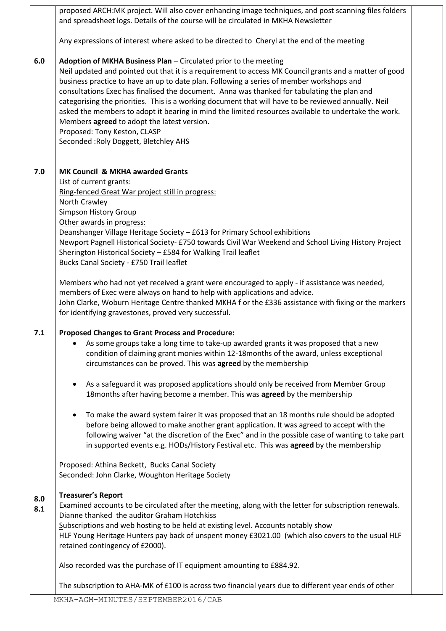**6.0 7.0 7.1 8.0 8.1** proposed ARCH:MK project. Will also cover enhancing image techniques, and post scanning files folders and spreadsheet logs. Details of the course will be circulated in MKHA Newsletter Any expressions of interest where asked to be directed to Cheryl at the end of the meeting **Adoption of MKHA Business Plan** – Circulated prior to the meeting Neil updated and pointed out that it is a requirement to access MK Council grants and a matter of good business practice to have an up to date plan. Following a series of member workshops and consultations Exec has finalised the document. Anna was thanked for tabulating the plan and categorising the priorities. This is a working document that will have to be reviewed annually. Neil asked the members to adopt it bearing in mind the limited resources available to undertake the work. Members **agreed** to adopt the latest version. Proposed: Tony Keston, CLASP Seconded :Roly Doggett, Bletchley AHS **MK Council & MKHA awarded Grants** List of current grants: Ring-fenced Great War project still in progress: North Crawley Simpson History Group Other awards in progress: Deanshanger Village Heritage Society – £613 for Primary School exhibitions Newport Pagnell Historical Society- £750 towards Civil War Weekend and School Living History Project Sherington Historical Society – £584 for Walking Trail leaflet Bucks Canal Society - £750 Trail leaflet Members who had not yet received a grant were encouraged to apply - if assistance was needed, members of Exec were always on hand to help with applications and advice. John Clarke, Woburn Heritage Centre thanked MKHA f or the £336 assistance with fixing or the markers for identifying gravestones, proved very successful. **Proposed Changes to Grant Process and Procedure:** As some groups take a long time to take-up awarded grants it was proposed that a new condition of claiming grant monies within 12-18months of the award, unless exceptional circumstances can be proved. This was **agreed** by the membership As a safeguard it was proposed applications should only be received from Member Group 18months after having become a member. This was **agreed** by the membership To make the award system fairer it was proposed that an 18 months rule should be adopted before being allowed to make another grant application. It was agreed to accept with the following waiver "at the discretion of the Exec" and in the possible case of wanting to take part in supported events e.g. HODs/History Festival etc. This was **agreed** by the membership Proposed: Athina Beckett, Bucks Canal Society Seconded: John Clarke, Woughton Heritage Society **Treasurer's Report** Examined accounts to be circulated after the meeting, along with the letter for subscription renewals. Dianne thanked the auditor Graham Hotchkiss Subscriptions and web hosting to be held at existing level. Accounts notably show HLF Young Heritage Hunters pay back of unspent money £3021.00 (which also covers to the usual HLF retained contingency of £2000). Also recorded was the purchase of IT equipment amounting to £884.92. The subscription to AHA-MK of £100 is across two financial years due to different year ends of other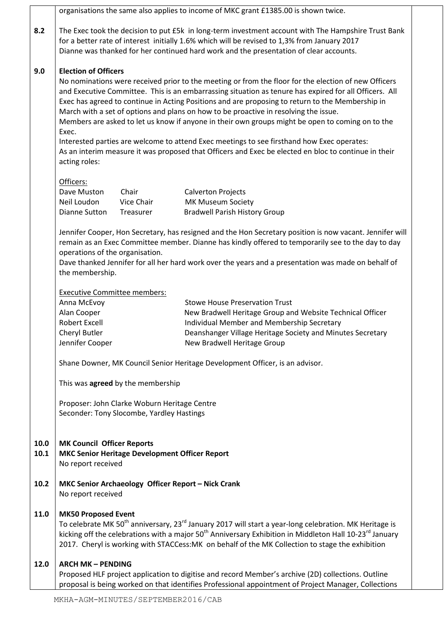| organisations the same also applies to income of MKC grant £1385.00 is shown twice.                                                                                                                                                                                                                                                                                                                                                                                                                                                                                                                                                                                                                                                                                           |                                                                  |                                                                                            |  |  |  |  |
|-------------------------------------------------------------------------------------------------------------------------------------------------------------------------------------------------------------------------------------------------------------------------------------------------------------------------------------------------------------------------------------------------------------------------------------------------------------------------------------------------------------------------------------------------------------------------------------------------------------------------------------------------------------------------------------------------------------------------------------------------------------------------------|------------------------------------------------------------------|--------------------------------------------------------------------------------------------|--|--|--|--|
| The Exec took the decision to put £5k in long-term investment account with The Hampshire Trust Bank<br>for a better rate of interest initially 1.6% which will be revised to 1,3% from January 2017<br>Dianne was thanked for her continued hard work and the presentation of clear accounts.                                                                                                                                                                                                                                                                                                                                                                                                                                                                                 |                                                                  |                                                                                            |  |  |  |  |
| <b>Election of Officers</b><br>No nominations were received prior to the meeting or from the floor for the election of new Officers<br>and Executive Committee. This is an embarrassing situation as tenure has expired for all Officers. All<br>Exec has agreed to continue in Acting Positions and are proposing to return to the Membership in<br>March with a set of options and plans on how to be proactive in resolving the issue.<br>Members are asked to let us know if anyone in their own groups might be open to coming on to the<br>Exec.<br>Interested parties are welcome to attend Exec meetings to see firsthand how Exec operates:<br>As an interim measure it was proposed that Officers and Exec be elected en bloc to continue in their<br>acting roles: |                                                                  |                                                                                            |  |  |  |  |
| Officers:                                                                                                                                                                                                                                                                                                                                                                                                                                                                                                                                                                                                                                                                                                                                                                     |                                                                  |                                                                                            |  |  |  |  |
| Dave Muston                                                                                                                                                                                                                                                                                                                                                                                                                                                                                                                                                                                                                                                                                                                                                                   | Chair                                                            | <b>Calverton Projects</b>                                                                  |  |  |  |  |
|                                                                                                                                                                                                                                                                                                                                                                                                                                                                                                                                                                                                                                                                                                                                                                               |                                                                  | MK Museum Society                                                                          |  |  |  |  |
|                                                                                                                                                                                                                                                                                                                                                                                                                                                                                                                                                                                                                                                                                                                                                                               |                                                                  | <b>Bradwell Parish History Group</b>                                                       |  |  |  |  |
| Jennifer Cooper, Hon Secretary, has resigned and the Hon Secretary position is now vacant. Jennifer will<br>remain as an Exec Committee member. Dianne has kindly offered to temporarily see to the day to day<br>operations of the organisation.<br>Dave thanked Jennifer for all her hard work over the years and a presentation was made on behalf of<br>the membership.                                                                                                                                                                                                                                                                                                                                                                                                   |                                                                  |                                                                                            |  |  |  |  |
|                                                                                                                                                                                                                                                                                                                                                                                                                                                                                                                                                                                                                                                                                                                                                                               |                                                                  |                                                                                            |  |  |  |  |
| Anna McEvoy                                                                                                                                                                                                                                                                                                                                                                                                                                                                                                                                                                                                                                                                                                                                                                   |                                                                  | <b>Stowe House Preservation Trust</b>                                                      |  |  |  |  |
| Alan Cooper                                                                                                                                                                                                                                                                                                                                                                                                                                                                                                                                                                                                                                                                                                                                                                   |                                                                  | New Bradwell Heritage Group and Website Technical Officer                                  |  |  |  |  |
| <b>Robert Excell</b>                                                                                                                                                                                                                                                                                                                                                                                                                                                                                                                                                                                                                                                                                                                                                          |                                                                  | Individual Member and Membership Secretary                                                 |  |  |  |  |
|                                                                                                                                                                                                                                                                                                                                                                                                                                                                                                                                                                                                                                                                                                                                                                               |                                                                  | Deanshanger Village Heritage Society and Minutes Secretary                                 |  |  |  |  |
|                                                                                                                                                                                                                                                                                                                                                                                                                                                                                                                                                                                                                                                                                                                                                                               |                                                                  | New Bradwell Heritage Group                                                                |  |  |  |  |
| Shane Downer, MK Council Senior Heritage Development Officer, is an advisor.                                                                                                                                                                                                                                                                                                                                                                                                                                                                                                                                                                                                                                                                                                  |                                                                  |                                                                                            |  |  |  |  |
| This was agreed by the membership                                                                                                                                                                                                                                                                                                                                                                                                                                                                                                                                                                                                                                                                                                                                             |                                                                  |                                                                                            |  |  |  |  |
| Proposer: John Clarke Woburn Heritage Centre<br>Seconder: Tony Slocombe, Yardley Hastings                                                                                                                                                                                                                                                                                                                                                                                                                                                                                                                                                                                                                                                                                     |                                                                  |                                                                                            |  |  |  |  |
| <b>MK Council Officer Reports</b><br>MKC Senior Heritage Development Officer Report<br>No report received                                                                                                                                                                                                                                                                                                                                                                                                                                                                                                                                                                                                                                                                     |                                                                  |                                                                                            |  |  |  |  |
| MKC Senior Archaeology Officer Report - Nick Crank<br>No report received                                                                                                                                                                                                                                                                                                                                                                                                                                                                                                                                                                                                                                                                                                      |                                                                  |                                                                                            |  |  |  |  |
| <b>MK50 Proposed Event</b><br>To celebrate MK 50 <sup>th</sup> anniversary, 23 <sup>rd</sup> January 2017 will start a year-long celebration. MK Heritage is<br>kicking off the celebrations with a major 50 <sup>th</sup> Anniversary Exhibition in Middleton Hall 10-23 <sup>rd</sup> January<br>2017. Cheryl is working with STACCess: MK on behalf of the MK Collection to stage the exhibition                                                                                                                                                                                                                                                                                                                                                                           |                                                                  |                                                                                            |  |  |  |  |
|                                                                                                                                                                                                                                                                                                                                                                                                                                                                                                                                                                                                                                                                                                                                                                               |                                                                  |                                                                                            |  |  |  |  |
| 12.0<br>Proposed HLF project application to digitise and record Member's archive (2D) collections. Outline<br>proposal is being worked on that identifies Professional appointment of Project Manager, Collections                                                                                                                                                                                                                                                                                                                                                                                                                                                                                                                                                            |                                                                  |                                                                                            |  |  |  |  |
|                                                                                                                                                                                                                                                                                                                                                                                                                                                                                                                                                                                                                                                                                                                                                                               | Neil Loudon<br>Dianne Sutton<br>Cheryl Butler<br>Jennifer Cooper | Vice Chair<br>Treasurer<br><b>Executive Committee members:</b><br><b>ARCH MK - PENDING</b> |  |  |  |  |